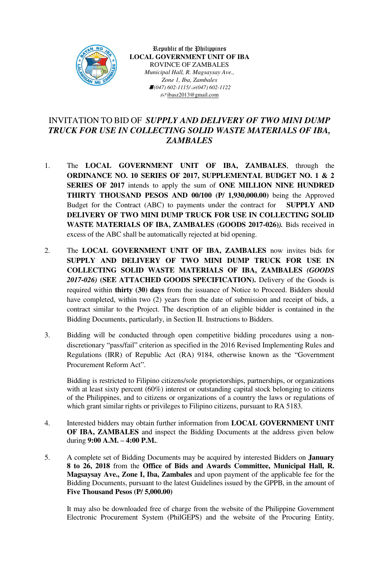

Republic of the Philippines **LOCAL GOVERNMENT UNIT OF IBA** ROVINCE OF ZAMBALES *Municipal Hall, R. Magsaysay Ave., Zone 1, Iba, Zambales <i>f*(047) 602-1115/*∃*(047) 602-1122  $\equiv$ jbasz2013@gmail.com

## INVITATION TO BID OF *SUPPLY AND DELIVERY OF TWO MINI DUMP TRUCK FOR USE IN COLLECTING SOLID WASTE MATERIALS OF IBA, ZAMBALES*

- 1. The **LOCAL GOVERNMENT UNIT OF IBA, ZAMBALES**, through the **ORDINANCE NO. 10 SERIES OF 2017, SUPPLEMENTAL BUDGET NO. 1 & 2 SERIES OF 2017** intends to apply the sum of **ONE MILLION NINE HUNDRED THIRTY THOUSAND PESOS AND 00/100 (P/ 1,930,000.00)** being the Approved Budget for the Contract (ABC) to payments under the contract for **SUPPLY AND DELIVERY OF TWO MINI DUMP TRUCK FOR USE IN COLLECTING SOLID WASTE MATERIALS OF IBA, ZAMBALES (GOODS 2017-026)***).* Bids received in excess of the ABC shall be automatically rejected at bid opening.
- 2. The **LOCAL GOVERNMENT UNIT OF IBA, ZAMBALES** now invites bids for **SUPPLY AND DELIVERY OF TWO MINI DUMP TRUCK FOR USE IN COLLECTING SOLID WASTE MATERIALS OF IBA, ZAMBALES** *(GOODS 2017-026)* **(SEE ATTACHED GOODS SPECIFICATION).** Delivery of the Goods is required within **thirty (30) days** from the issuance of Notice to Proceed. Bidders should have completed, within two (2) years from the date of submission and receipt of bids, a contract similar to the Project. The description of an eligible bidder is contained in the Bidding Documents, particularly, in Section II. Instructions to Bidders.
- 3. Bidding will be conducted through open competitive bidding procedures using a nondiscretionary "pass/fail" criterion as specified in the 2016 Revised Implementing Rules and Regulations (IRR) of Republic Act (RA) 9184, otherwise known as the "Government Procurement Reform Act".

Bidding is restricted to Filipino citizens/sole proprietorships, partnerships, or organizations with at least sixty percent (60%) interest or outstanding capital stock belonging to citizens of the Philippines, and to citizens or organizations of a country the laws or regulations of which grant similar rights or privileges to Filipino citizens, pursuant to RA 5183.

- 4. Interested bidders may obtain further information from **LOCAL GOVERNMENT UNIT OF IBA, ZAMBALES** and inspect the Bidding Documents at the address given below during **9:00 A.M. – 4:00 P.M.**.
- 5. A complete set of Bidding Documents may be acquired by interested Bidders on **January 8 to 26, 2018** from the **Office of Bids and Awards Committee, Municipal Hall, R. Magsaysay Ave., Zone I, Iba, Zambales** and upon payment of the applicable fee for the Bidding Documents, pursuant to the latest Guidelines issued by the GPPB, in the amount of **Five Thousand Pesos (P/ 5,000.00)**

It may also be downloaded free of charge from the website of the Philippine Government Electronic Procurement System (PhilGEPS) and the website of the Procuring Entity*,*